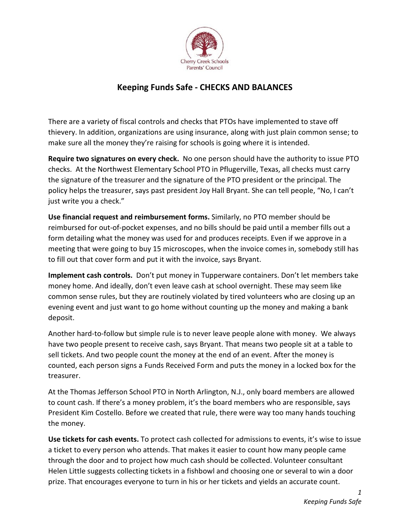

## Keeping Funds Safe - CHECKS AND BALANCES

There are a variety of fiscal controls and checks that PTOs have implemented to stave off thievery. In addition, organizations are using insurance, along with just plain common sense; to make sure all the money they're raising for schools is going where it is intended.

Require two signatures on every check. No one person should have the authority to issue PTO checks. At the Northwest Elementary School PTO in Pflugerville, Texas, all checks must carry the signature of the treasurer and the signature of the PTO president or the principal. The policy helps the treasurer, says past president Joy Hall Bryant. She can tell people, "No, I can't just write you a check."

Use financial request and reimbursement forms. Similarly, no PTO member should be reimbursed for out-of-pocket expenses, and no bills should be paid until a member fills out a form detailing what the money was used for and produces receipts. Even if we approve in a meeting that were going to buy 15 microscopes, when the invoice comes in, somebody still has to fill out that cover form and put it with the invoice, says Bryant.

Implement cash controls. Don't put money in Tupperware containers. Don't let members take money home. And ideally, don't even leave cash at school overnight. These may seem like common sense rules, but they are routinely violated by tired volunteers who are closing up an evening event and just want to go home without counting up the money and making a bank deposit.

Another hard-to-follow but simple rule is to never leave people alone with money. We always have two people present to receive cash, says Bryant. That means two people sit at a table to sell tickets. And two people count the money at the end of an event. After the money is counted, each person signs a Funds Received Form and puts the money in a locked box for the treasurer.

At the Thomas Jefferson School PTO in North Arlington, N.J., only board members are allowed to count cash. If there's a money problem, it's the board members who are responsible, says President Kim Costello. Before we created that rule, there were way too many hands touching the money.

Use tickets for cash events. To protect cash collected for admissions to events, it's wise to issue a ticket to every person who attends. That makes it easier to count how many people came through the door and to project how much cash should be collected. Volunteer consultant Helen Little suggests collecting tickets in a fishbowl and choosing one or several to win a door prize. That encourages everyone to turn in his or her tickets and yields an accurate count.